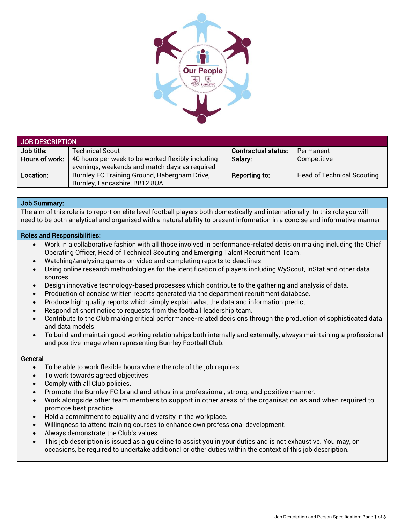

| JOB DESCRIPTION |                                                                                                    |                            |                                   |  |
|-----------------|----------------------------------------------------------------------------------------------------|----------------------------|-----------------------------------|--|
| Job title:      | <b>Technical Scout</b>                                                                             | <b>Contractual status:</b> | Permanent                         |  |
| Hours of work:  | 40 hours per week to be worked flexibly including<br>evenings, weekends and match days as required | Salary:                    | Competitive                       |  |
| Location:       | Burnley FC Training Ground, Habergham Drive,<br>Burnley, Lancashire, BB12 8UA                      | Reporting to:              | <b>Head of Technical Scouting</b> |  |

## Job Summary:

The aim of this role is to report on elite level football players both domestically and internationally. In this role you will need to be both analytical and organised with a natural ability to present information in a concise and informative manner.

## Roles and Responsibilities:

- Work in a collaborative fashion with all those involved in performance-related decision making including the Chief Operating Officer, Head of Technical Scouting and Emerging Talent Recruitment Team.
- Watching/analysing games on video and completing reports to deadlines.
- Using online research methodologies for the identification of players including WyScout, InStat and other data sources.
- Design innovative technology-based processes which contribute to the gathering and analysis of data.
- Production of concise written reports generated via the department recruitment database.
- Produce high quality reports which simply explain what the data and information predict.
- Respond at short notice to requests from the football leadership team.
- Contribute to the Club making critical performance-related decisions through the production of sophisticated data and data models.
- To build and maintain good working relationships both internally and externally, always maintaining a professional and positive image when representing Burnley Football Club.

## General

- To be able to work flexible hours where the role of the job requires.
- To work towards agreed objectives.
- Comply with all Club policies.
- Promote the Burnley FC brand and ethos in a professional, strong, and positive manner.
- Work alongside other team members to support in other areas of the organisation as and when required to promote best practice.
- Hold a commitment to equality and diversity in the workplace.
- Willingness to attend training courses to enhance own professional development.
- Always demonstrate the Club's values.
- This job description is issued as a guideline to assist you in your duties and is not exhaustive. You may, on occasions, be required to undertake additional or other duties within the context of this job description.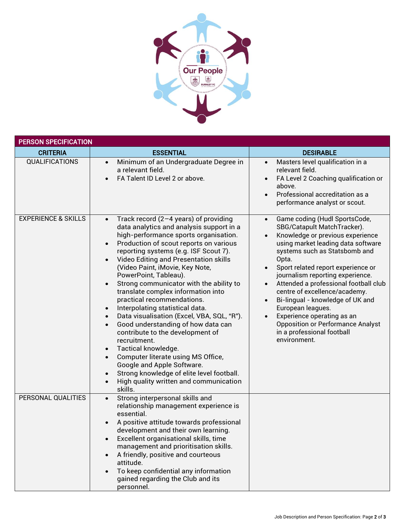

| <b>PERSON SPECIFICATION</b>    |                                                                                                                                                                                                                                                                                                                                                                                                                                                                                                                                                                                                                                                                                                                                                                                                                                                                                                                                         |                                                                                                                                                                                                                                                                                                                                                                                                                                                                                                                                                 |  |  |
|--------------------------------|-----------------------------------------------------------------------------------------------------------------------------------------------------------------------------------------------------------------------------------------------------------------------------------------------------------------------------------------------------------------------------------------------------------------------------------------------------------------------------------------------------------------------------------------------------------------------------------------------------------------------------------------------------------------------------------------------------------------------------------------------------------------------------------------------------------------------------------------------------------------------------------------------------------------------------------------|-------------------------------------------------------------------------------------------------------------------------------------------------------------------------------------------------------------------------------------------------------------------------------------------------------------------------------------------------------------------------------------------------------------------------------------------------------------------------------------------------------------------------------------------------|--|--|
| <b>CRITERIA</b>                | <b>ESSENTIAL</b>                                                                                                                                                                                                                                                                                                                                                                                                                                                                                                                                                                                                                                                                                                                                                                                                                                                                                                                        | <b>DESIRABLE</b>                                                                                                                                                                                                                                                                                                                                                                                                                                                                                                                                |  |  |
| <b>QUALIFICATIONS</b>          | Minimum of an Undergraduate Degree in<br>$\bullet$<br>a relevant field.<br>FA Talent ID Level 2 or above.                                                                                                                                                                                                                                                                                                                                                                                                                                                                                                                                                                                                                                                                                                                                                                                                                               | Masters level qualification in a<br>$\bullet$<br>relevant field.<br>FA Level 2 Coaching qualification or<br>above.<br>Professional accreditation as a<br>performance analyst or scout.                                                                                                                                                                                                                                                                                                                                                          |  |  |
| <b>EXPERIENCE &amp; SKILLS</b> | Track record $(2-4$ years) of providing<br>$\bullet$<br>data analytics and analysis support in a<br>high-performance sports organisation.<br>Production of scout reports on various<br>$\bullet$<br>reporting systems (e.g. ISF Scout 7).<br><b>Video Editing and Presentation skills</b><br>$\bullet$<br>(Video Paint, iMovie, Key Note,<br>PowerPoint, Tableau).<br>Strong communicator with the ability to<br>$\bullet$<br>translate complex information into<br>practical recommendations.<br>Interpolating statistical data.<br>$\bullet$<br>Data visualisation (Excel, VBA, SQL, "R").<br>$\bullet$<br>Good understanding of how data can<br>$\bullet$<br>contribute to the development of<br>recruitment.<br>Tactical knowledge.<br>Computer literate using MS Office,<br>$\bullet$<br>Google and Apple Software.<br>Strong knowledge of elite level football.<br>High quality written and communication<br>$\bullet$<br>skills. | Game coding (Hudl SportsCode,<br>$\bullet$<br>SBG/Catapult MatchTracker).<br>Knowledge or previous experience<br>using market leading data software<br>systems such as Statsbomb and<br>Opta.<br>Sport related report experience or<br>journalism reporting experience.<br>Attended a professional football club<br>centre of excellence/academy.<br>Bi-lingual - knowledge of UK and<br>European leagues.<br>Experience operating as an<br>$\bullet$<br><b>Opposition or Performance Analyst</b><br>in a professional football<br>environment. |  |  |
| PERSONAL QUALITIES             | Strong interpersonal skills and<br>$\bullet$<br>relationship management experience is<br>essential.<br>A positive attitude towards professional<br>development and their own learning.<br>Excellent organisational skills, time<br>$\bullet$<br>management and prioritisation skills.<br>A friendly, positive and courteous<br>$\bullet$<br>attitude.<br>To keep confidential any information<br>gained regarding the Club and its<br>personnel.                                                                                                                                                                                                                                                                                                                                                                                                                                                                                        |                                                                                                                                                                                                                                                                                                                                                                                                                                                                                                                                                 |  |  |